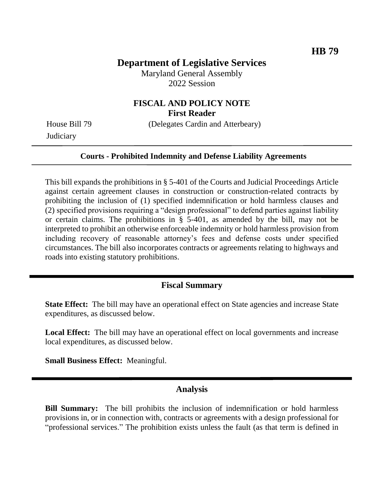## **Department of Legislative Services**

Maryland General Assembly 2022 Session

### **FISCAL AND POLICY NOTE First Reader**

**Judiciary** 

House Bill 79 (Delegates Cardin and Atterbeary)

#### **Courts - Prohibited Indemnity and Defense Liability Agreements**

This bill expands the prohibitions in § 5-401 of the Courts and Judicial Proceedings Article against certain agreement clauses in construction or construction-related contracts by prohibiting the inclusion of (1) specified indemnification or hold harmless clauses and (2) specified provisions requiring a "design professional" to defend parties against liability or certain claims. The prohibitions in § 5-401, as amended by the bill, may not be interpreted to prohibit an otherwise enforceable indemnity or hold harmless provision from including recovery of reasonable attorney's fees and defense costs under specified circumstances. The bill also incorporates contracts or agreements relating to highways and roads into existing statutory prohibitions.

#### **Fiscal Summary**

**State Effect:** The bill may have an operational effect on State agencies and increase State expenditures, as discussed below.

**Local Effect:** The bill may have an operational effect on local governments and increase local expenditures, as discussed below.

**Small Business Effect:** Meaningful.

## **Analysis**

**Bill Summary:** The bill prohibits the inclusion of indemnification or hold harmless provisions in, or in connection with, contracts or agreements with a design professional for "professional services." The prohibition exists unless the fault (as that term is defined in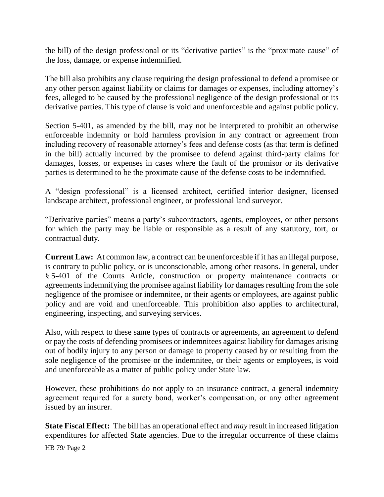the bill) of the design professional or its "derivative parties" is the "proximate cause" of the loss, damage, or expense indemnified.

The bill also prohibits any clause requiring the design professional to defend a promisee or any other person against liability or claims for damages or expenses, including attorney's fees, alleged to be caused by the professional negligence of the design professional or its derivative parties. This type of clause is void and unenforceable and against public policy.

Section 5-401, as amended by the bill, may not be interpreted to prohibit an otherwise enforceable indemnity or hold harmless provision in any contract or agreement from including recovery of reasonable attorney's fees and defense costs (as that term is defined in the bill) actually incurred by the promisee to defend against third-party claims for damages, losses, or expenses in cases where the fault of the promisor or its derivative parties is determined to be the proximate cause of the defense costs to be indemnified.

A "design professional" is a licensed architect, certified interior designer, licensed landscape architect, professional engineer, or professional land surveyor.

"Derivative parties" means a party's subcontractors, agents, employees, or other persons for which the party may be liable or responsible as a result of any statutory, tort, or contractual duty.

**Current Law:** At common law, a contract can be unenforceable if it has an illegal purpose, is contrary to public policy, or is unconscionable, among other reasons. In general, under § 5-401 of the Courts Article, construction or property maintenance contracts or agreements indemnifying the promisee against liability for damages resulting from the sole negligence of the promisee or indemnitee, or their agents or employees, are against public policy and are void and unenforceable. This prohibition also applies to architectural, engineering, inspecting, and surveying services.

Also, with respect to these same types of contracts or agreements, an agreement to defend or pay the costs of defending promisees or indemnitees against liability for damages arising out of bodily injury to any person or damage to property caused by or resulting from the sole negligence of the promisee or the indemnitee, or their agents or employees, is void and unenforceable as a matter of public policy under State law.

However, these prohibitions do not apply to an insurance contract, a general indemnity agreement required for a surety bond, worker's compensation, or any other agreement issued by an insurer.

**State Fiscal Effect:** The bill has an operational effect and *may* result in increased litigation expenditures for affected State agencies. Due to the irregular occurrence of these claims

HB 79/ Page 2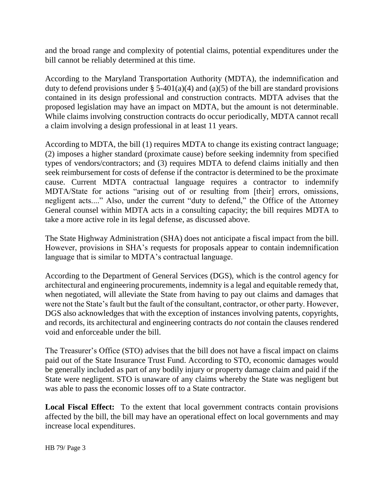and the broad range and complexity of potential claims, potential expenditures under the bill cannot be reliably determined at this time.

According to the Maryland Transportation Authority (MDTA), the indemnification and duty to defend provisions under § 5-401(a)(4) and (a)(5) of the bill are standard provisions contained in its design professional and construction contracts. MDTA advises that the proposed legislation may have an impact on MDTA, but the amount is not determinable. While claims involving construction contracts do occur periodically, MDTA cannot recall a claim involving a design professional in at least 11 years.

According to MDTA, the bill (1) requires MDTA to change its existing contract language; (2) imposes a higher standard (proximate cause) before seeking indemnity from specified types of vendors/contractors; and (3) requires MDTA to defend claims initially and then seek reimbursement for costs of defense if the contractor is determined to be the proximate cause. Current MDTA contractual language requires a contractor to indemnify MDTA/State for actions "arising out of or resulting from [their] errors, omissions, negligent acts...." Also, under the current "duty to defend," the Office of the Attorney General counsel within MDTA acts in a consulting capacity; the bill requires MDTA to take a more active role in its legal defense, as discussed above.

The State Highway Administration (SHA) does not anticipate a fiscal impact from the bill. However, provisions in SHA's requests for proposals appear to contain indemnification language that is similar to MDTA's contractual language.

According to the Department of General Services (DGS), which is the control agency for architectural and engineering procurements, indemnity is a legal and equitable remedy that, when negotiated, will alleviate the State from having to pay out claims and damages that were not the State's fault but the fault of the consultant, contractor, or other party. However, DGS also acknowledges that with the exception of instances involving patents, copyrights, and records, its architectural and engineering contracts do *not* contain the clauses rendered void and enforceable under the bill.

The Treasurer's Office (STO) advises that the bill does not have a fiscal impact on claims paid out of the State Insurance Trust Fund. According to STO, economic damages would be generally included as part of any bodily injury or property damage claim and paid if the State were negligent. STO is unaware of any claims whereby the State was negligent but was able to pass the economic losses off to a State contractor.

Local Fiscal Effect: To the extent that local government contracts contain provisions affected by the bill, the bill may have an operational effect on local governments and may increase local expenditures.